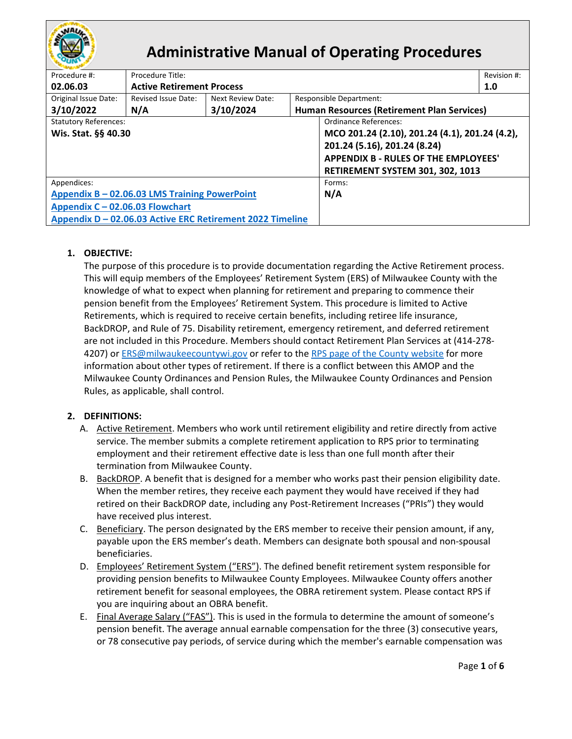

# **Administrative Manual of Operating Procedures**

| Procedure #:                    | Procedure Title:                                          |                   |                                                |  |  |
|---------------------------------|-----------------------------------------------------------|-------------------|------------------------------------------------|--|--|
| 02.06.03                        | <b>Active Retirement Process</b>                          |                   |                                                |  |  |
| Original Issue Date:            | Revised Issue Date:                                       | Next Review Date: | Responsible Department:                        |  |  |
| 3/10/2022                       | N/A                                                       | 3/10/2024         | Human Resources (Retirement Plan Services)     |  |  |
| <b>Statutory References:</b>    |                                                           |                   | Ordinance References:                          |  |  |
| Wis. Stat. §§ 40.30             |                                                           |                   | MCO 201.24 (2.10), 201.24 (4.1), 201.24 (4.2), |  |  |
|                                 |                                                           |                   | 201.24 (5.16), 201.24 (8.24)                   |  |  |
|                                 |                                                           |                   | <b>APPENDIX B - RULES OF THE EMPLOYEES'</b>    |  |  |
|                                 |                                                           |                   | RETIREMENT SYSTEM 301, 302, 1013               |  |  |
| Appendices:                     |                                                           | Forms:            |                                                |  |  |
|                                 | Appendix B - 02.06.03 LMS Training PowerPoint             | N/A               |                                                |  |  |
| Appendix C - 02.06.03 Flowchart |                                                           |                   |                                                |  |  |
|                                 | Appendix D - 02.06.03 Active ERC Retirement 2022 Timeline |                   |                                                |  |  |

# **1. OBJECTIVE:**

The purpose of this procedure is to provide documentation regarding the Active Retirement process. This will equip members of the Employees' Retirement System (ERS) of Milwaukee County with the knowledge of what to expect when planning for retirement and preparing to commence their pension benefit from the Employees' Retirement System. This procedure is limited to Active Retirements, which is required to receive certain benefits, including retiree life insurance, BackDROP, and Rule of 75. Disability retirement, emergency retirement, and deferred retirement are not included in this Procedure. Members should contact Retirement Plan Services at (414-278- 4207) or [ERS@milwaukeecountywi.gov](mailto:ERS@milwaukeecountywi.gov) or refer to the [RPS page of the County website](https://county.milwaukee.gov/EN/Human-Resources/Retirement-Services) for more information about other types of retirement. If there is a conflict between this AMOP and the Milwaukee County Ordinances and Pension Rules, the Milwaukee County Ordinances and Pension Rules, as applicable, shall control.

# **2. DEFINITIONS:**

- A. Active Retirement. Members who work until retirement eligibility and retire directly from active service. The member submits a complete retirement application to RPS prior to terminating employment and their retirement effective date is less than one full month after their termination from Milwaukee County.
- B. BackDROP. A benefit that is designed for a member who works past their pension eligibility date. When the member retires, they receive each payment they would have received if they had retired on their BackDROP date, including any Post-Retirement Increases ("PRIs") they would have received plus interest.
- C. Beneficiary. The person designated by the ERS member to receive their pension amount, if any, payable upon the ERS member's death. Members can designate both spousal and non-spousal beneficiaries.
- D. Employees' Retirement System ("ERS"). The defined benefit retirement system responsible for providing pension benefits to Milwaukee County Employees. Milwaukee County offers another retirement benefit for seasonal employees, the OBRA retirement system. Please contact RPS if you are inquiring about an OBRA benefit.
- E. Final Average Salary ("FAS"). This is used in the formula to determine the amount of someone's pension benefit. The average annual earnable compensation for the three (3) consecutive years, or 78 consecutive pay periods, of service during which the member's earnable compensation was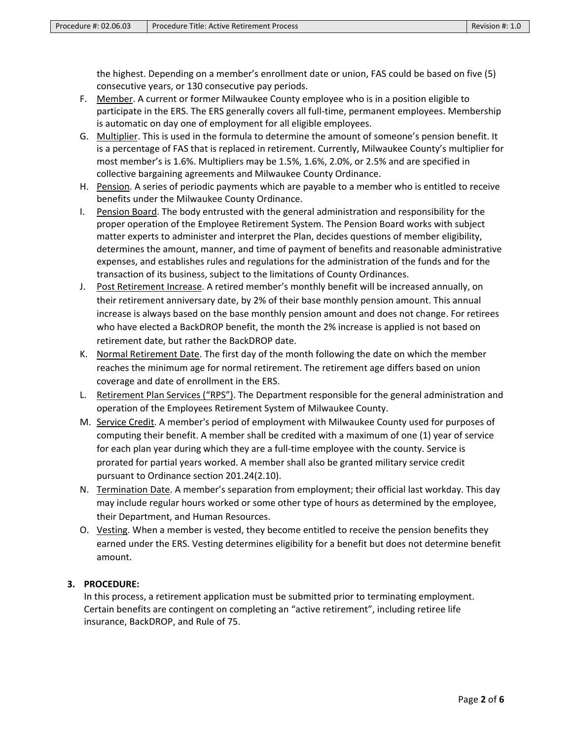the highest. Depending on a member's enrollment date or union, FAS could be based on five (5) consecutive years, or 130 consecutive pay periods.

- F. Member. A current or former Milwaukee County employee who is in a position eligible to participate in the ERS. The ERS generally covers all full-time, permanent employees. Membership is automatic on day one of employment for all eligible employees.
- G. Multiplier. This is used in the formula to determine the amount of someone's pension benefit. It is a percentage of FAS that is replaced in retirement. Currently, Milwaukee County's multiplier for most member's is 1.6%. Multipliers may be 1.5%, 1.6%, 2.0%, or 2.5% and are specified in collective bargaining agreements and Milwaukee County Ordinance.
- H. Pension. A series of periodic payments which are payable to a member who is entitled to receive benefits under the Milwaukee County Ordinance.
- I. Pension Board. The body entrusted with the general administration and responsibility for the proper operation of the Employee Retirement System. The Pension Board works with subject matter experts to administer and interpret the Plan, decides questions of member eligibility, determines the amount, manner, and time of payment of benefits and reasonable administrative expenses, and establishes rules and regulations for the administration of the funds and for the transaction of its business, subject to the limitations of County Ordinances.
- J. Post Retirement Increase. A retired member's monthly benefit will be increased annually, on their retirement anniversary date, by 2% of their base monthly pension amount. This annual increase is always based on the base monthly pension amount and does not change. For retirees who have elected a BackDROP benefit, the month the 2% increase is applied is not based on retirement date, but rather the BackDROP date.
- K. Normal Retirement Date. The first day of the month following the date on which the member reaches the minimum age for normal retirement. The retirement age differs based on union coverage and date of enrollment in the ERS.
- L. Retirement Plan Services ("RPS"). The Department responsible for the general administration and operation of the Employees Retirement System of Milwaukee County.
- M. Service Credit. A member's period of employment with Milwaukee County used for purposes of computing their benefit. A member shall be credited with a maximum of one (1) year of service for each plan year during which they are a full-time employee with the county. Service is prorated for partial years worked. A member shall also be granted military service credit pursuant to Ordinance section 201.24(2.10).
- N. Termination Date. A member's separation from employment; their official last workday. This day may include regular hours worked or some other type of hours as determined by the employee, their Department, and Human Resources.
- O. Vesting. When a member is vested, they become entitled to receive the pension benefits they earned under the ERS. Vesting determines eligibility for a benefit but does not determine benefit amount.

# **3. PROCEDURE:**

In this process, a retirement application must be submitted prior to terminating employment. Certain benefits are contingent on completing an "active retirement", including retiree life insurance, BackDROP, and Rule of 75.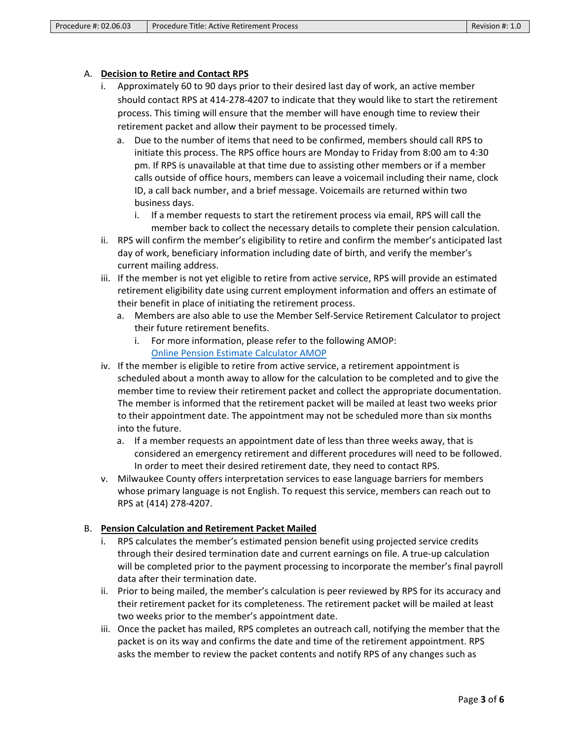## A. **Decision to Retire and Contact RPS**

- i. Approximately 60 to 90 days prior to their desired last day of work, an active member should contact RPS at 414-278-4207 to indicate that they would like to start the retirement process. This timing will ensure that the member will have enough time to review their retirement packet and allow their payment to be processed timely.
	- a. Due to the number of items that need to be confirmed, members should call RPS to initiate this process. The RPS office hours are Monday to Friday from 8:00 am to 4:30 pm. If RPS is unavailable at that time due to assisting other members or if a member calls outside of office hours, members can leave a voicemail including their name, clock ID, a call back number, and a brief message. Voicemails are returned within two business days.
		- i. If a member requests to start the retirement process via email, RPS will call the member back to collect the necessary details to complete their pension calculation.
- ii. RPS will confirm the member's eligibility to retire and confirm the member's anticipated last day of work, beneficiary information including date of birth, and verify the member's current mailing address.
- iii. If the member is not yet eligible to retire from active service, RPS will provide an estimated retirement eligibility date using current employment information and offers an estimate of their benefit in place of initiating the retirement process.
	- a. Members are also able to use the Member Self-Service Retirement Calculator to project their future retirement benefits.
		- i. For more information, please refer to the following AMOP: [Online Pension Estimate Calculator AMOP](https://county.milwaukee.gov/files/county/administrative-services/AMOP/Chapter-2-Human-Resources/02.06.02-OnlinePensionEstimateCalculator.pdf)
- iv. If the member is eligible to retire from active service, a retirement appointment is scheduled about a month away to allow for the calculation to be completed and to give the member time to review their retirement packet and collect the appropriate documentation. The member is informed that the retirement packet will be mailed at least two weeks prior to their appointment date. The appointment may not be scheduled more than six months into the future.
	- a. If a member requests an appointment date of less than three weeks away, that is considered an emergency retirement and different procedures will need to be followed. In order to meet their desired retirement date, they need to contact RPS.
- v. Milwaukee County offers interpretation services to ease language barriers for members whose primary language is not English. To request this service, members can reach out to RPS at (414) 278-4207.

## B. **Pension Calculation and Retirement Packet Mailed**

- i. RPS calculates the member's estimated pension benefit using projected service credits through their desired termination date and current earnings on file. A true-up calculation will be completed prior to the payment processing to incorporate the member's final payroll data after their termination date.
- ii. Prior to being mailed, the member's calculation is peer reviewed by RPS for its accuracy and their retirement packet for its completeness. The retirement packet will be mailed at least two weeks prior to the member's appointment date.
- iii. Once the packet has mailed, RPS completes an outreach call, notifying the member that the packet is on its way and confirms the date and time of the retirement appointment. RPS asks the member to review the packet contents and notify RPS of any changes such as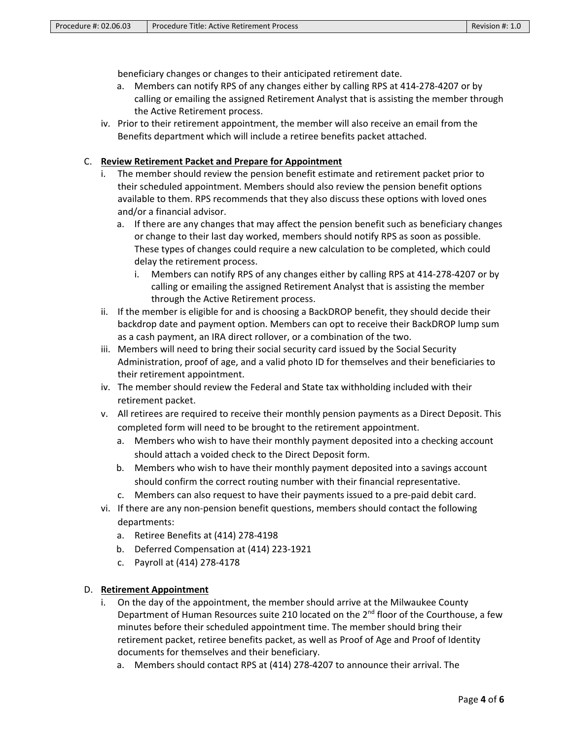beneficiary changes or changes to their anticipated retirement date.

- a. Members can notify RPS of any changes either by calling RPS at 414-278-4207 or by calling or emailing the assigned Retirement Analyst that is assisting the member through the Active Retirement process.
- iv. Prior to their retirement appointment, the member will also receive an email from the Benefits department which will include a retiree benefits packet attached.

#### C. **Review Retirement Packet and Prepare for Appointment**

- i. The member should review the pension benefit estimate and retirement packet prior to their scheduled appointment. Members should also review the pension benefit options available to them. RPS recommends that they also discuss these options with loved ones and/or a financial advisor.
	- a. If there are any changes that may affect the pension benefit such as beneficiary changes or change to their last day worked, members should notify RPS as soon as possible. These types of changes could require a new calculation to be completed, which could delay the retirement process.
		- i. Members can notify RPS of any changes either by calling RPS at 414-278-4207 or by calling or emailing the assigned Retirement Analyst that is assisting the member through the Active Retirement process.
- ii. If the member is eligible for and is choosing a BackDROP benefit, they should decide their backdrop date and payment option. Members can opt to receive their BackDROP lump sum as a cash payment, an IRA direct rollover, or a combination of the two.
- iii. Members will need to bring their social security card issued by the Social Security Administration, proof of age, and a valid photo ID for themselves and their beneficiaries to their retirement appointment.
- iv. The member should review the Federal and State tax withholding included with their retirement packet.
- v. All retirees are required to receive their monthly pension payments as a Direct Deposit. This completed form will need to be brought to the retirement appointment.
	- a. Members who wish to have their monthly payment deposited into a checking account should attach a voided check to the Direct Deposit form.
	- b. Members who wish to have their monthly payment deposited into a savings account should confirm the correct routing number with their financial representative.
	- c. Members can also request to have their payments issued to a pre-paid debit card.
- vi. If there are any non-pension benefit questions, members should contact the following departments:
	- a. Retiree Benefits at (414) 278-4198
	- b. Deferred Compensation at (414) 223-1921
	- c. Payroll at (414) 278-4178

#### D. **Retirement Appointment**

- i. On the day of the appointment, the member should arrive at the Milwaukee County Department of Human Resources suite 210 located on the 2<sup>nd</sup> floor of the Courthouse, a few minutes before their scheduled appointment time. The member should bring their retirement packet, retiree benefits packet, as well as Proof of Age and Proof of Identity documents for themselves and their beneficiary.
	- a. Members should contact RPS at (414) 278-4207 to announce their arrival. The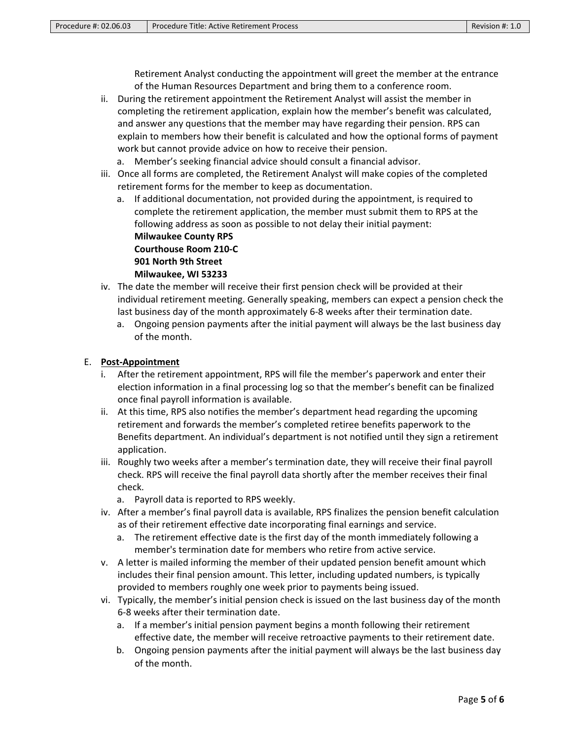Retirement Analyst conducting the appointment will greet the member at the entrance of the Human Resources Department and bring them to a conference room.

- ii. During the retirement appointment the Retirement Analyst will assist the member in completing the retirement application, explain how the member's benefit was calculated, and answer any questions that the member may have regarding their pension. RPS can explain to members how their benefit is calculated and how the optional forms of payment work but cannot provide advice on how to receive their pension.
	- a. Member's seeking financial advice should consult a financial advisor.
- iii. Once all forms are completed, the Retirement Analyst will make copies of the completed retirement forms for the member to keep as documentation.
	- a. If additional documentation, not provided during the appointment, is required to complete the retirement application, the member must submit them to RPS at the following address as soon as possible to not delay their initial payment: **Milwaukee County RPS Courthouse Room 210-C 901 North 9th Street Milwaukee, WI 53233**
- iv. The date the member will receive their first pension check will be provided at their individual retirement meeting. Generally speaking, members can expect a pension check the last business day of the month approximately 6-8 weeks after their termination date.
	- a. Ongoing pension payments after the initial payment will always be the last business day of the month.

## E. **Post-Appointment**

- i. After the retirement appointment, RPS will file the member's paperwork and enter their election information in a final processing log so that the member's benefit can be finalized once final payroll information is available.
- ii. At this time, RPS also notifies the member's department head regarding the upcoming retirement and forwards the member's completed retiree benefits paperwork to the Benefits department. An individual's department is not notified until they sign a retirement application.
- iii. Roughly two weeks after a member's termination date, they will receive their final payroll check. RPS will receive the final payroll data shortly after the member receives their final check.
	- a. Payroll data is reported to RPS weekly.
- iv. After a member's final payroll data is available, RPS finalizes the pension benefit calculation as of their retirement effective date incorporating final earnings and service.
	- a. The retirement effective date is the first day of the month immediately following a member's termination date for members who retire from active service.
- v. A letter is mailed informing the member of their updated pension benefit amount which includes their final pension amount. This letter, including updated numbers, is typically provided to members roughly one week prior to payments being issued.
- vi. Typically, the member's initial pension check is issued on the last business day of the month 6-8 weeks after their termination date.
	- a. If a member's initial pension payment begins a month following their retirement effective date, the member will receive retroactive payments to their retirement date.
	- b. Ongoing pension payments after the initial payment will always be the last business day of the month.